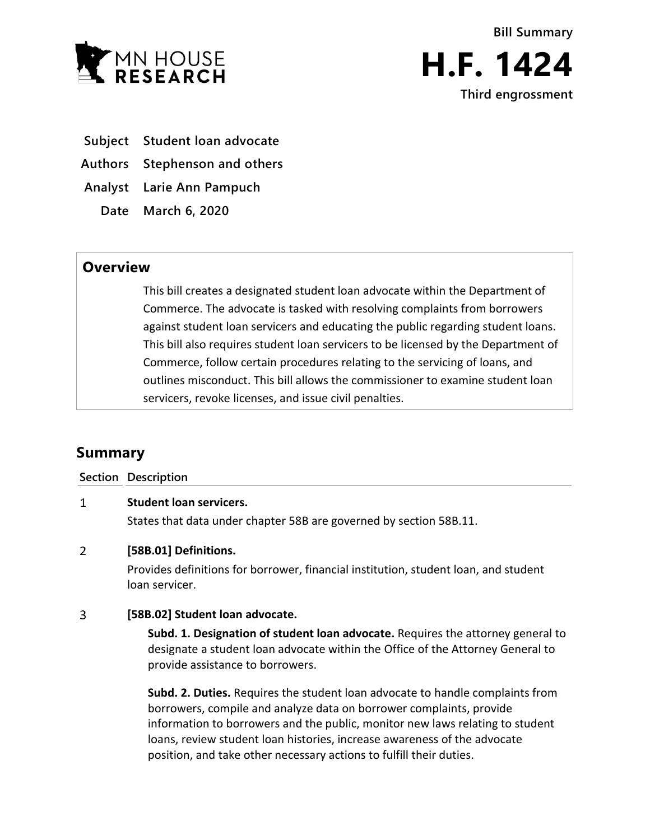

**Bill Summary H.F. 1424**

**Third engrossment**

**Subject Student loan advocate**

**Authors Stephenson and others**

**Analyst Larie Ann Pampuch**

**Date March 6, 2020**

## **Overview**

This bill creates a designated student loan advocate within the Department of Commerce. The advocate is tasked with resolving complaints from borrowers against student loan servicers and educating the public regarding student loans. This bill also requires student loan servicers to be licensed by the Department of Commerce, follow certain procedures relating to the servicing of loans, and outlines misconduct. This bill allows the commissioner to examine student loan servicers, revoke licenses, and issue civil penalties.

# **Summary**

**Section Description**

#### $\mathbf{1}$ **Student loan servicers.**

States that data under chapter 58B are governed by section 58B.11.

#### $\overline{2}$ **[58B.01] Definitions.**

Provides definitions for borrower, financial institution, student loan, and student loan servicer.

#### $\overline{3}$ **[58B.02] Student loan advocate.**

**Subd. 1. Designation of student loan advocate.** Requires the attorney general to designate a student loan advocate within the Office of the Attorney General to provide assistance to borrowers.

**Subd. 2. Duties.** Requires the student loan advocate to handle complaints from borrowers, compile and analyze data on borrower complaints, provide information to borrowers and the public, monitor new laws relating to student loans, review student loan histories, increase awareness of the advocate position, and take other necessary actions to fulfill their duties.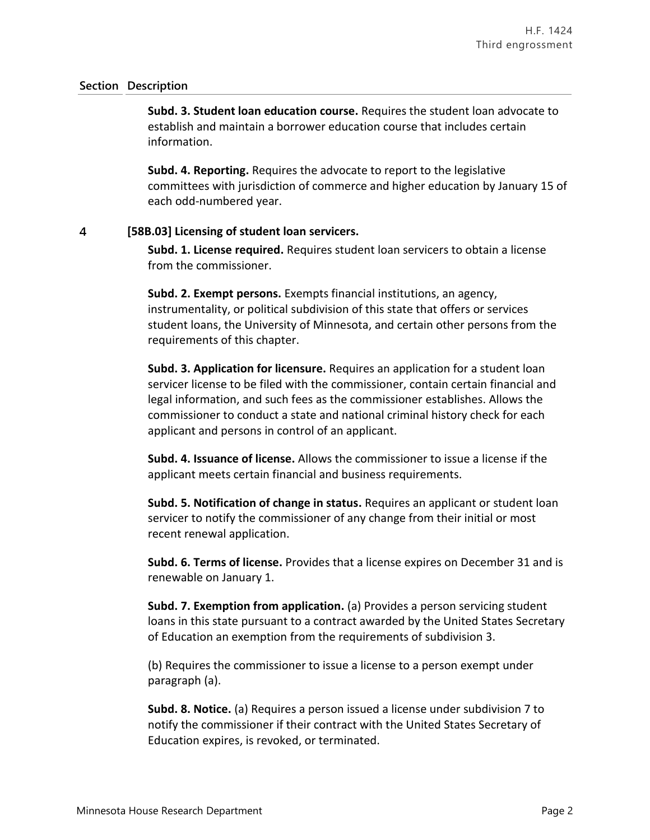**Subd. 3. Student loan education course.** Requires the student loan advocate to establish and maintain a borrower education course that includes certain information.

**Subd. 4. Reporting.** Requires the advocate to report to the legislative committees with jurisdiction of commerce and higher education by January 15 of each odd-numbered year.

#### $\overline{4}$ **[58B.03] Licensing of student loan servicers.**

**Subd. 1. License required.** Requires student loan servicers to obtain a license from the commissioner.

**Subd. 2. Exempt persons.** Exempts financial institutions, an agency, instrumentality, or political subdivision of this state that offers or services student loans, the University of Minnesota, and certain other persons from the requirements of this chapter.

**Subd. 3. Application for licensure.** Requires an application for a student loan servicer license to be filed with the commissioner, contain certain financial and legal information, and such fees as the commissioner establishes. Allows the commissioner to conduct a state and national criminal history check for each applicant and persons in control of an applicant.

**Subd. 4. Issuance of license.** Allows the commissioner to issue a license if the applicant meets certain financial and business requirements.

**Subd. 5. Notification of change in status.** Requires an applicant or student loan servicer to notify the commissioner of any change from their initial or most recent renewal application.

**Subd. 6. Terms of license.** Provides that a license expires on December 31 and is renewable on January 1.

**Subd. 7. Exemption from application.** (a) Provides a person servicing student loans in this state pursuant to a contract awarded by the United States Secretary of Education an exemption from the requirements of subdivision 3.

(b) Requires the commissioner to issue a license to a person exempt under paragraph (a).

**Subd. 8. Notice.** (a) Requires a person issued a license under subdivision 7 to notify the commissioner if their contract with the United States Secretary of Education expires, is revoked, or terminated.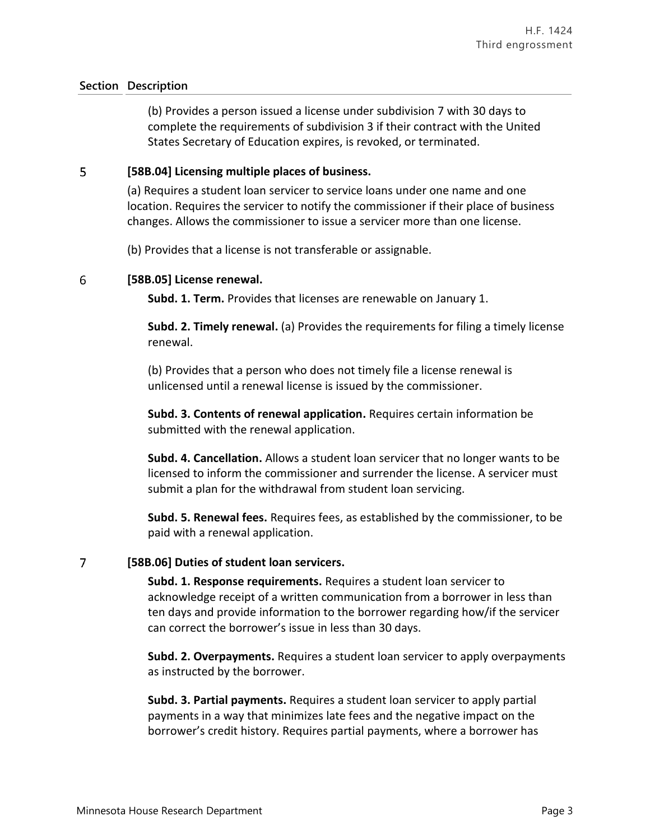(b) Provides a person issued a license under subdivision 7 with 30 days to complete the requirements of subdivision 3 if their contract with the United States Secretary of Education expires, is revoked, or terminated.

#### 5 **[58B.04] Licensing multiple places of business.**

(a) Requires a student loan servicer to service loans under one name and one location. Requires the servicer to notify the commissioner if their place of business changes. Allows the commissioner to issue a servicer more than one license.

(b) Provides that a license is not transferable or assignable.

#### 6 **[58B.05] License renewal.**

**Subd. 1. Term.** Provides that licenses are renewable on January 1.

**Subd. 2. Timely renewal.** (a) Provides the requirements for filing a timely license renewal.

(b) Provides that a person who does not timely file a license renewal is unlicensed until a renewal license is issued by the commissioner.

**Subd. 3. Contents of renewal application.** Requires certain information be submitted with the renewal application.

**Subd. 4. Cancellation.** Allows a student loan servicer that no longer wants to be licensed to inform the commissioner and surrender the license. A servicer must submit a plan for the withdrawal from student loan servicing.

**Subd. 5. Renewal fees.** Requires fees, as established by the commissioner, to be paid with a renewal application.

#### $\overline{7}$ **[58B.06] Duties of student loan servicers.**

**Subd. 1. Response requirements.** Requires a student loan servicer to acknowledge receipt of a written communication from a borrower in less than ten days and provide information to the borrower regarding how/if the servicer can correct the borrower's issue in less than 30 days.

**Subd. 2. Overpayments.** Requires a student loan servicer to apply overpayments as instructed by the borrower.

**Subd. 3. Partial payments.** Requires a student loan servicer to apply partial payments in a way that minimizes late fees and the negative impact on the borrower's credit history. Requires partial payments, where a borrower has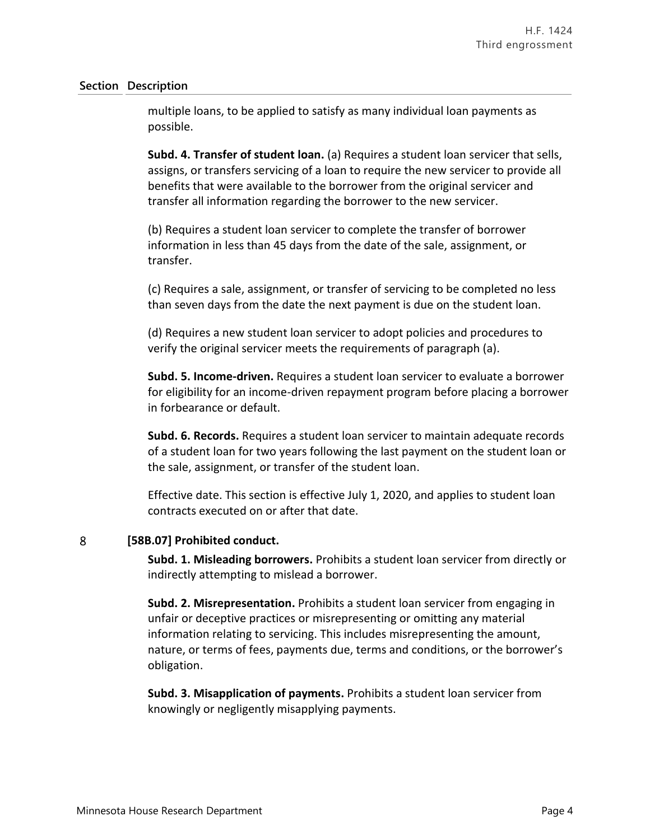multiple loans, to be applied to satisfy as many individual loan payments as possible.

**Subd. 4. Transfer of student loan.** (a) Requires a student loan servicer that sells, assigns, or transfers servicing of a loan to require the new servicer to provide all benefits that were available to the borrower from the original servicer and transfer all information regarding the borrower to the new servicer.

(b) Requires a student loan servicer to complete the transfer of borrower information in less than 45 days from the date of the sale, assignment, or transfer.

(c) Requires a sale, assignment, or transfer of servicing to be completed no less than seven days from the date the next payment is due on the student loan.

(d) Requires a new student loan servicer to adopt policies and procedures to verify the original servicer meets the requirements of paragraph (a).

**Subd. 5. Income-driven.** Requires a student loan servicer to evaluate a borrower for eligibility for an income-driven repayment program before placing a borrower in forbearance or default.

**Subd. 6. Records.** Requires a student loan servicer to maintain adequate records of a student loan for two years following the last payment on the student loan or the sale, assignment, or transfer of the student loan.

Effective date. This section is effective July 1, 2020, and applies to student loan contracts executed on or after that date.

#### 8 **[58B.07] Prohibited conduct.**

**Subd. 1. Misleading borrowers.** Prohibits a student loan servicer from directly or indirectly attempting to mislead a borrower.

**Subd. 2. Misrepresentation.** Prohibits a student loan servicer from engaging in unfair or deceptive practices or misrepresenting or omitting any material information relating to servicing. This includes misrepresenting the amount, nature, or terms of fees, payments due, terms and conditions, or the borrower's obligation.

**Subd. 3. Misapplication of payments.** Prohibits a student loan servicer from knowingly or negligently misapplying payments.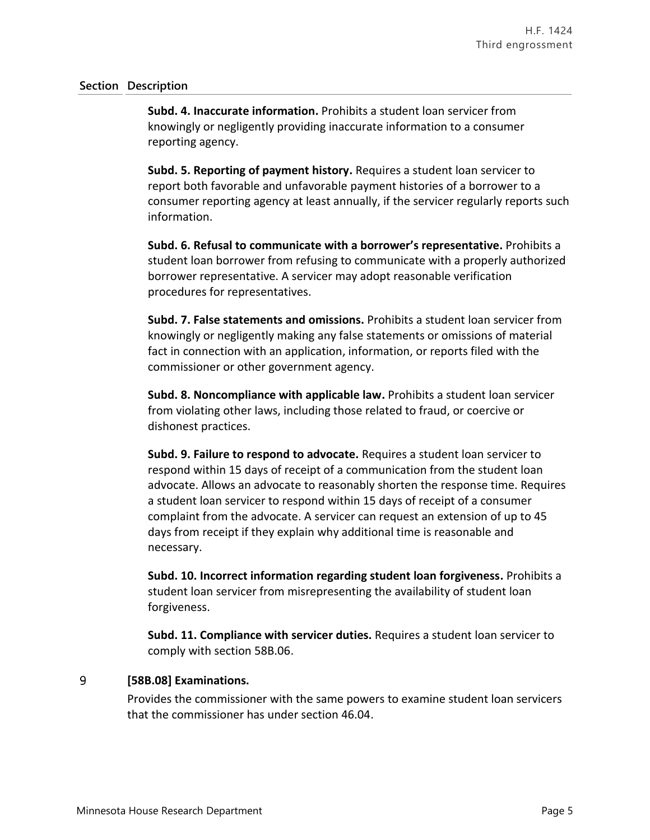**Subd. 4. Inaccurate information.** Prohibits a student loan servicer from knowingly or negligently providing inaccurate information to a consumer reporting agency.

**Subd. 5. Reporting of payment history.** Requires a student loan servicer to report both favorable and unfavorable payment histories of a borrower to a consumer reporting agency at least annually, if the servicer regularly reports such information.

**Subd. 6. Refusal to communicate with a borrower's representative.** Prohibits a student loan borrower from refusing to communicate with a properly authorized borrower representative. A servicer may adopt reasonable verification procedures for representatives.

**Subd. 7. False statements and omissions.** Prohibits a student loan servicer from knowingly or negligently making any false statements or omissions of material fact in connection with an application, information, or reports filed with the commissioner or other government agency.

**Subd. 8. Noncompliance with applicable law.** Prohibits a student loan servicer from violating other laws, including those related to fraud, or coercive or dishonest practices.

**Subd. 9. Failure to respond to advocate.** Requires a student loan servicer to respond within 15 days of receipt of a communication from the student loan advocate. Allows an advocate to reasonably shorten the response time. Requires a student loan servicer to respond within 15 days of receipt of a consumer complaint from the advocate. A servicer can request an extension of up to 45 days from receipt if they explain why additional time is reasonable and necessary.

**Subd. 10. Incorrect information regarding student loan forgiveness.** Prohibits a student loan servicer from misrepresenting the availability of student loan forgiveness.

**Subd. 11. Compliance with servicer duties.** Requires a student loan servicer to comply with section 58B.06.

#### 9 **[58B.08] Examinations.**

Provides the commissioner with the same powers to examine student loan servicers that the commissioner has under section 46.04.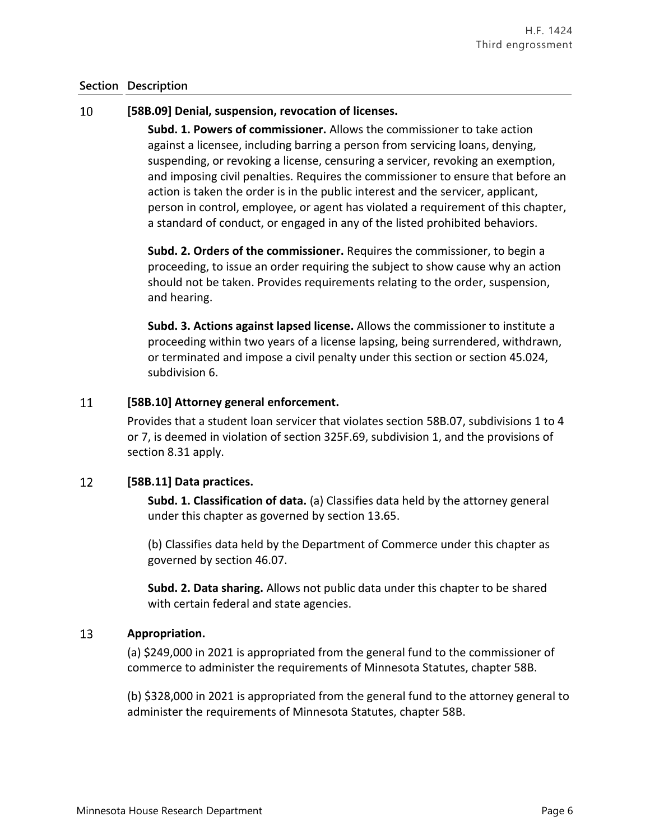#### 10 **[58B.09] Denial, suspension, revocation of licenses.**

**Subd. 1. Powers of commissioner.** Allows the commissioner to take action against a licensee, including barring a person from servicing loans, denying, suspending, or revoking a license, censuring a servicer, revoking an exemption, and imposing civil penalties. Requires the commissioner to ensure that before an action is taken the order is in the public interest and the servicer, applicant, person in control, employee, or agent has violated a requirement of this chapter, a standard of conduct, or engaged in any of the listed prohibited behaviors.

**Subd. 2. Orders of the commissioner.** Requires the commissioner, to begin a proceeding, to issue an order requiring the subject to show cause why an action should not be taken. Provides requirements relating to the order, suspension, and hearing.

**Subd. 3. Actions against lapsed license.** Allows the commissioner to institute a proceeding within two years of a license lapsing, being surrendered, withdrawn, or terminated and impose a civil penalty under this section or section 45.024, subdivision 6.

#### 11 **[58B.10] Attorney general enforcement.**

Provides that a student loan servicer that violates section 58B.07, subdivisions 1 to 4 or 7, is deemed in violation of section 325F.69, subdivision 1, and the provisions of section 8.31 apply.

#### 12 **[58B.11] Data practices.**

**Subd. 1. Classification of data.** (a) Classifies data held by the attorney general under this chapter as governed by section 13.65.

(b) Classifies data held by the Department of Commerce under this chapter as governed by section 46.07.

**Subd. 2. Data sharing.** Allows not public data under this chapter to be shared with certain federal and state agencies.

#### 13 **Appropriation.**

(a) \$249,000 in 2021 is appropriated from the general fund to the commissioner of commerce to administer the requirements of Minnesota Statutes, chapter 58B.

(b) \$328,000 in 2021 is appropriated from the general fund to the attorney general to administer the requirements of Minnesota Statutes, chapter 58B.